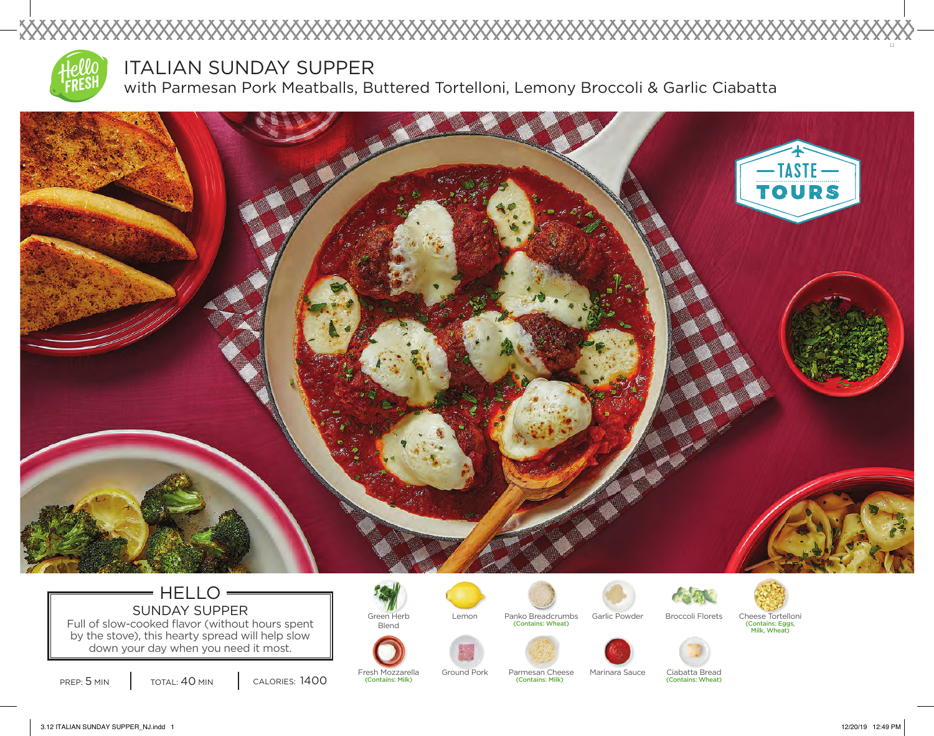

XXXXX

## ITALIAN SUNDAY SUPPER

with Parmesan Pork Meatballs, Buttered Tortelloni, Lemony Broccoli & Garlic Ciabatta



### $=$  HELLO  $=$ SUNDAY SUPPER **Green Herb** Full of slow-cooked flavor (without hours spent

by the stove), this hearty spread will help slow down your day when you need it most.

PREP: 5 MIN | TOTAL: 40 MIN | CALORIES: 1400

Blend











(Contains: Milk) (Contains: Milk)



Lemon Panko Breadcrumbs Garlic Powder Broccoli Florets Cheese Tortelloni (Contains: Wheat) (Contains: Eggs, Milk, Wheat)



Fresh Mozzarella Ground Pork Parmesan Cheese Marinara Sauce Ciabatta Bread<br>(Contains: Milk) (Contains: Wheat) (Contains: Meat) (Contains: Wheat)

12